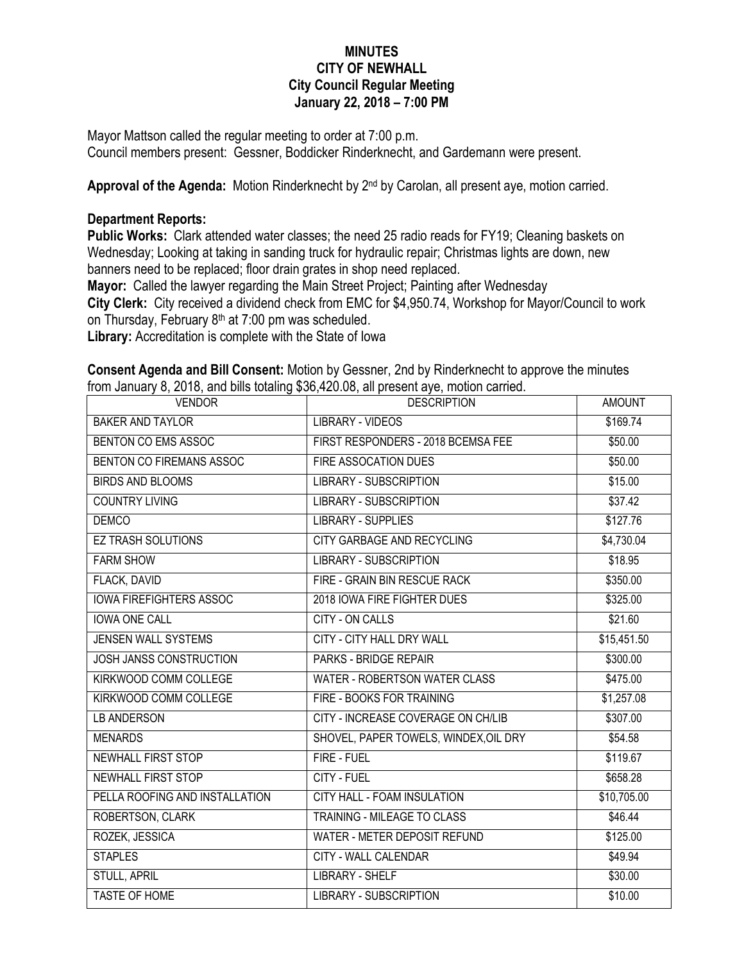## **MINUTES CITY OF NEWHALL City Council Regular Meeting January 22, 2018 – 7:00 PM**

Mayor Mattson called the regular meeting to order at 7:00 p.m. Council members present: Gessner, Boddicker Rinderknecht, and Gardemann were present.

Approval of the Agenda: Motion Rinderknecht by 2<sup>nd</sup> by Carolan, all present aye, motion carried.

## **Department Reports:**

**Public Works:** Clark attended water classes; the need 25 radio reads for FY19; Cleaning baskets on Wednesday; Looking at taking in sanding truck for hydraulic repair; Christmas lights are down, new banners need to be replaced; floor drain grates in shop need replaced.

**Mayor:** Called the lawyer regarding the Main Street Project; Painting after Wednesday **City Clerk:** City received a dividend check from EMC for \$4,950.74, Workshop for Mayor/Council to work

on Thursday, February  $8<sup>th</sup>$  at 7:00 pm was scheduled.

**Library:** Accreditation is complete with the State of Iowa

**Consent Agenda and Bill Consent:** Motion by Gessner, 2nd by Rinderknecht to approve the minutes from January 8, 2018, and bills totaling \$36,420.08, all present aye, motion carried.

| <b>VENDOR</b>                  | <b>DESCRIPTION</b>                    | <b>AMOUNT</b> |
|--------------------------------|---------------------------------------|---------------|
| <b>BAKER AND TAYLOR</b>        | LIBRARY - VIDEOS                      | \$169.74      |
| BENTON CO EMS ASSOC            | FIRST RESPONDERS - 2018 BCEMSA FEE    | \$50.00       |
| BENTON CO FIREMANS ASSOC       | FIRE ASSOCATION DUES                  | \$50.00       |
| <b>BIRDS AND BLOOMS</b>        | <b>LIBRARY - SUBSCRIPTION</b>         | \$15.00       |
| <b>COUNTRY LIVING</b>          | <b>LIBRARY - SUBSCRIPTION</b>         | \$37.42       |
| <b>DEMCO</b>                   | <b>LIBRARY - SUPPLIES</b>             | \$127.76      |
| <b>EZ TRASH SOLUTIONS</b>      | CITY GARBAGE AND RECYCLING            | \$4,730.04    |
| <b>FARM SHOW</b>               | <b>LIBRARY - SUBSCRIPTION</b>         | \$18.95       |
| FLACK, DAVID                   | FIRE - GRAIN BIN RESCUE RACK          | \$350.00      |
| <b>IOWA FIREFIGHTERS ASSOC</b> | 2018 IOWA FIRE FIGHTER DUES           | \$325.00      |
| <b>IOWA ONE CALL</b>           | <b>CITY - ON CALLS</b>                | \$21.60       |
| JENSEN WALL SYSTEMS            | <b>CITY - CITY HALL DRY WALL</b>      | \$15,451.50   |
| <b>JOSH JANSS CONSTRUCTION</b> | <b>PARKS - BRIDGE REPAIR</b>          | \$300.00      |
| KIRKWOOD COMM COLLEGE          | <b>WATER - ROBERTSON WATER CLASS</b>  | \$475.00      |
| KIRKWOOD COMM COLLEGE          | FIRE - BOOKS FOR TRAINING             | \$1,257.08    |
| <b>LB ANDERSON</b>             | CITY - INCREASE COVERAGE ON CH/LIB    | \$307.00      |
| <b>MENARDS</b>                 | SHOVEL, PAPER TOWELS, WINDEX, OIL DRY | \$54.58       |
| <b>NEWHALL FIRST STOP</b>      | FIRE - FUEL                           | \$119.67      |
| NEWHALL FIRST STOP             | CITY - FUEL                           | \$658.28      |
| PELLA ROOFING AND INSTALLATION | CITY HALL - FOAM INSULATION           | \$10,705.00   |
| ROBERTSON, CLARK               | TRAINING - MILEAGE TO CLASS           | \$46.44       |
| ROZEK, JESSICA                 | WATER - METER DEPOSIT REFUND          | \$125.00      |
| <b>STAPLES</b>                 | <b>CITY - WALL CALENDAR</b>           | \$49.94       |
| <b>STULL, APRIL</b>            | <b>LIBRARY - SHELF</b>                | \$30.00       |
| <b>TASTE OF HOME</b>           | <b>LIBRARY - SUBSCRIPTION</b>         | \$10.00       |